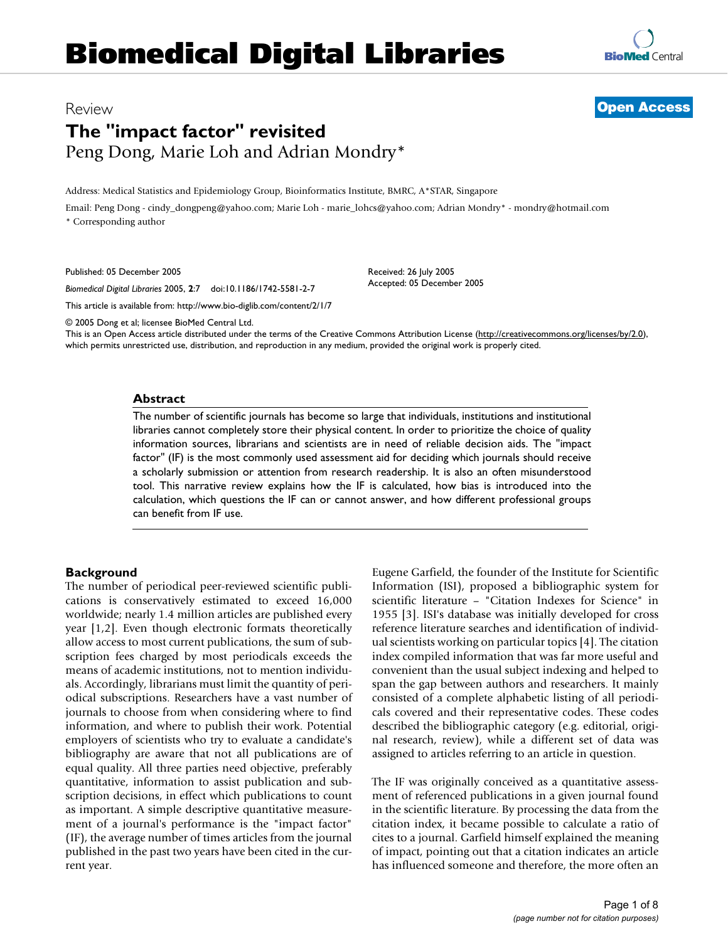# **Biomedical Digital Libraries**



# Review **Open Access**

# **The "impact factor" revisited** Peng Dong, Marie Loh and Adrian Mondry\*

Address: Medical Statistics and Epidemiology Group, Bioinformatics Institute, BMRC, A\*STAR, Singapore

Email: Peng Dong - cindy\_dongpeng@yahoo.com; Marie Loh - marie\_lohcs@yahoo.com; Adrian Mondry\* - mondry@hotmail.com \* Corresponding author

Published: 05 December 2005

*Biomedical Digital Libraries* 2005, **2**:7 doi:10.1186/1742-5581-2-7

This article is available from: http://www.bio-diglib.com/content/2/1/7

© 2005 Dong et al; licensee BioMed Central Ltd.

This is an Open Access article distributed under the terms of the Creative Commons Attribution License (http://creativecommons.org/licenses/by/2.0), which permits unrestricted use, distribution, and reproduction in any medium, provided the original work is properly cited.

Received: 26 July 2005 Accepted: 05 December 2005

#### **Abstract**

The number of scientific journals has become so large that individuals, institutions and institutional libraries cannot completely store their physical content. In order to prioritize the choice of quality information sources, librarians and scientists are in need of reliable decision aids. The "impact factor" (IF) is the most commonly used assessment aid for deciding which journals should receive a scholarly submission or attention from research readership. It is also an often misunderstood tool. This narrative review explains how the IF is calculated, how bias is introduced into the calculation, which questions the IF can or cannot answer, and how different professional groups can benefit from IF use.

#### **Background**

The number of periodical peer-reviewed scientific publications is conservatively estimated to exceed 16,000 worldwide; nearly 1.4 million articles are published every year [1,2]. Even though electronic formats theoretically allow access to most current publications, the sum of subscription fees charged by most periodicals exceeds the means of academic institutions, not to mention individuals. Accordingly, librarians must limit the quantity of periodical subscriptions. Researchers have a vast number of journals to choose from when considering where to find information, and where to publish their work. Potential employers of scientists who try to evaluate a candidate's bibliography are aware that not all publications are of equal quality. All three parties need objective, preferably quantitative, information to assist publication and subscription decisions, in effect which publications to count as important. A simple descriptive quantitative measurement of a journal's performance is the "impact factor" (IF), the average number of times articles from the journal published in the past two years have been cited in the current year.

Eugene Garfield, the founder of the Institute for Scientific Information (ISI), proposed a bibliographic system for scientific literature – "Citation Indexes for Science" in 1955 [3]. ISI's database was initially developed for cross reference literature searches and identification of individual scientists working on particular topics [4]. The citation index compiled information that was far more useful and convenient than the usual subject indexing and helped to span the gap between authors and researchers. It mainly consisted of a complete alphabetic listing of all periodicals covered and their representative codes. These codes described the bibliographic category (e.g. editorial, original research, review), while a different set of data was assigned to articles referring to an article in question.

The IF was originally conceived as a quantitative assessment of referenced publications in a given journal found in the scientific literature. By processing the data from the citation index, it became possible to calculate a ratio of cites to a journal. Garfield himself explained the meaning of impact, pointing out that a citation indicates an article has influenced someone and therefore, the more often an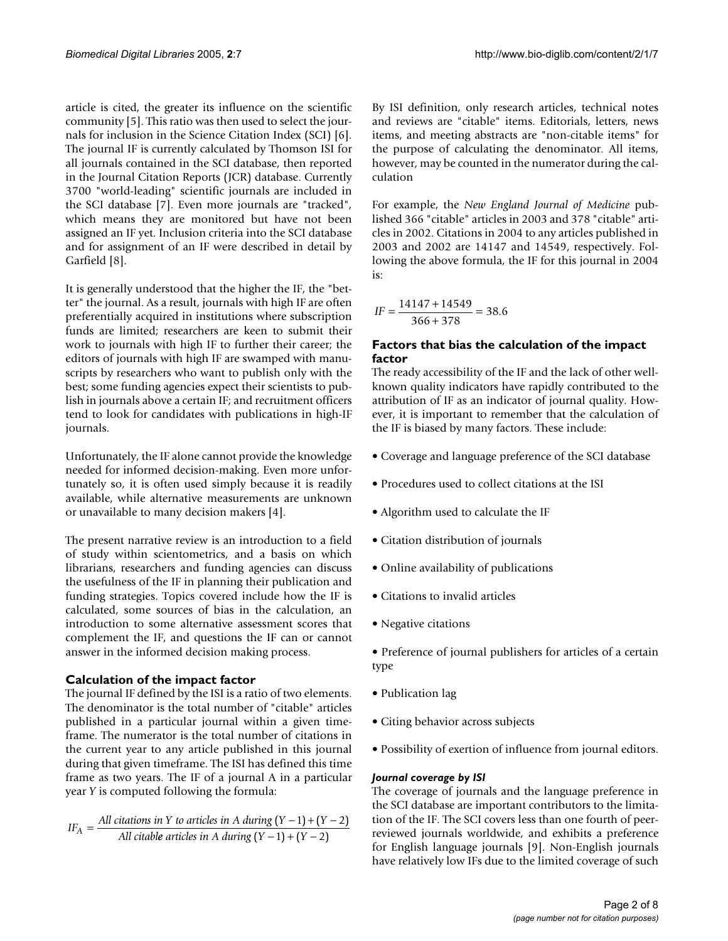article is cited, the greater its influence on the scientific community [5]. This ratio was then used to select the journals for inclusion in the Science Citation Index (SCI) [6]. The journal IF is currently calculated by Thomson ISI for all journals contained in the SCI database, then reported in the Journal Citation Reports (JCR) database. Currently 3700 "world-leading" scientific journals are included in the SCI database [7]. Even more journals are "tracked", which means they are monitored but have not been assigned an IF yet. Inclusion criteria into the SCI database and for assignment of an IF were described in detail by Garfield [8].

It is generally understood that the higher the IF, the "better" the journal. As a result, journals with high IF are often preferentially acquired in institutions where subscription funds are limited; researchers are keen to submit their work to journals with high IF to further their career; the editors of journals with high IF are swamped with manuscripts by researchers who want to publish only with the best; some funding agencies expect their scientists to publish in journals above a certain IF; and recruitment officers tend to look for candidates with publications in high-IF journals.

Unfortunately, the IF alone cannot provide the knowledge needed for informed decision-making. Even more unfortunately so, it is often used simply because it is readily available, while alternative measurements are unknown or unavailable to many decision makers [4].

The present narrative review is an introduction to a field of study within scientometrics, and a basis on which librarians, researchers and funding agencies can discuss the usefulness of the IF in planning their publication and funding strategies. Topics covered include how the IF is calculated, some sources of bias in the calculation, an introduction to some alternative assessment scores that complement the IF, and questions the IF can or cannot answer in the informed decision making process.

# **Calculation of the impact factor**

The journal IF defined by the ISI is a ratio of two elements. The denominator is the total number of "citable" articles published in a particular journal within a given timeframe. The numerator is the total number of citations in the current year to any article published in this journal during that given timeframe. The ISI has defined this time frame as two years. The IF of a journal A in a particular year *Y* is computed following the formula:

$$
IF_A = \frac{All \; citations \; in \; Y \; to \; articles \; in \; A \; during \; (Y-1)+(Y-2)}{All \; citable \; articles \; in \; A \; during \; (Y-1)+(Y-2)}
$$

By ISI definition, only research articles, technical notes and reviews are "citable" items. Editorials, letters, news items, and meeting abstracts are "non-citable items" for the purpose of calculating the denominator. All items, however, may be counted in the numerator during the calculation

For example, the *New England Journal of Medicine* published 366 "citable" articles in 2003 and 378 "citable" articles in 2002. Citations in 2004 to any articles published in 2003 and 2002 are 14147 and 14549, respectively. Following the above formula, the IF for this journal in 2004 is:

$$
IF = \frac{14147 + 14549}{366 + 378} = 38.6
$$

# **Factors that bias the calculation of the impact factor**

The ready accessibility of the IF and the lack of other wellknown quality indicators have rapidly contributed to the attribution of IF as an indicator of journal quality. However, it is important to remember that the calculation of the IF is biased by many factors. These include:

- Coverage and language preference of the SCI database
- Procedures used to collect citations at the ISI
- Algorithm used to calculate the IF
- Citation distribution of journals
- Online availability of publications
- Citations to invalid articles
- Negative citations

• Preference of journal publishers for articles of a certain type

- Publication lag
- Citing behavior across subjects
- Possibility of exertion of influence from journal editors.

# *Journal coverage by ISI*

The coverage of journals and the language preference in the SCI database are important contributors to the limitation of the IF. The SCI covers less than one fourth of peerreviewed journals worldwide, and exhibits a preference for English language journals [9]. Non-English journals have relatively low IFs due to the limited coverage of such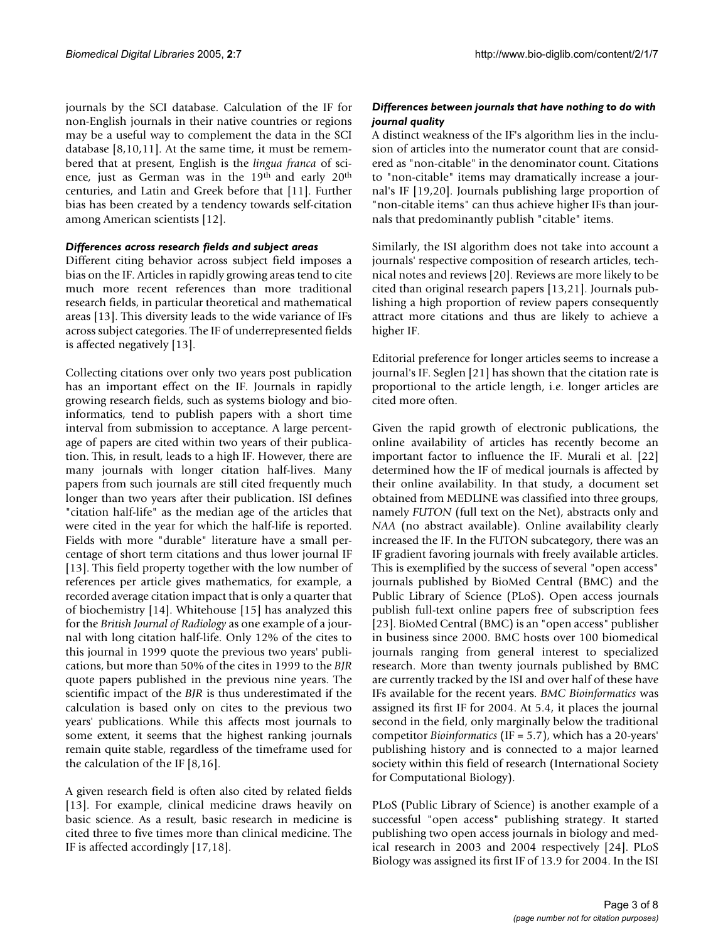journals by the SCI database. Calculation of the IF for non-English journals in their native countries or regions may be a useful way to complement the data in the SCI database [8,10,11]. At the same time, it must be remembered that at present, English is the *lingua franca* of science, just as German was in the 19th and early 20th centuries, and Latin and Greek before that [11]. Further bias has been created by a tendency towards self-citation among American scientists [12].

#### *Differences across research fields and subject areas*

Different citing behavior across subject field imposes a bias on the IF. Articles in rapidly growing areas tend to cite much more recent references than more traditional research fields, in particular theoretical and mathematical areas [13]. This diversity leads to the wide variance of IFs across subject categories. The IF of underrepresented fields is affected negatively [13].

Collecting citations over only two years post publication has an important effect on the IF. Journals in rapidly growing research fields, such as systems biology and bioinformatics, tend to publish papers with a short time interval from submission to acceptance. A large percentage of papers are cited within two years of their publication. This, in result, leads to a high IF. However, there are many journals with longer citation half-lives. Many papers from such journals are still cited frequently much longer than two years after their publication. ISI defines "citation half-life" as the median age of the articles that were cited in the year for which the half-life is reported. Fields with more "durable" literature have a small percentage of short term citations and thus lower journal IF [13]. This field property together with the low number of references per article gives mathematics, for example, a recorded average citation impact that is only a quarter that of biochemistry [14]. Whitehouse [15] has analyzed this for the *British Journal of Radiology* as one example of a journal with long citation half-life. Only 12% of the cites to this journal in 1999 quote the previous two years' publications, but more than 50% of the cites in 1999 to the *BJR* quote papers published in the previous nine years. The scientific impact of the *BJR* is thus underestimated if the calculation is based only on cites to the previous two years' publications. While this affects most journals to some extent, it seems that the highest ranking journals remain quite stable, regardless of the timeframe used for the calculation of the IF [8,16].

A given research field is often also cited by related fields [13]. For example, clinical medicine draws heavily on basic science. As a result, basic research in medicine is cited three to five times more than clinical medicine. The IF is affected accordingly [17,18].

# *Differences between journals that have nothing to do with journal quality*

A distinct weakness of the IF's algorithm lies in the inclusion of articles into the numerator count that are considered as "non-citable" in the denominator count. Citations to "non-citable" items may dramatically increase a journal's IF [19,20]. Journals publishing large proportion of "non-citable items" can thus achieve higher IFs than journals that predominantly publish "citable" items.

Similarly, the ISI algorithm does not take into account a journals' respective composition of research articles, technical notes and reviews [20]. Reviews are more likely to be cited than original research papers [13,21]. Journals publishing a high proportion of review papers consequently attract more citations and thus are likely to achieve a higher IF.

Editorial preference for longer articles seems to increase a journal's IF. Seglen [21] has shown that the citation rate is proportional to the article length, i.e. longer articles are cited more often.

Given the rapid growth of electronic publications, the online availability of articles has recently become an important factor to influence the IF. Murali et al. [22] determined how the IF of medical journals is affected by their online availability. In that study, a document set obtained from MEDLINE was classified into three groups, namely *FUTON* (full text on the Net), abstracts only and *NAA* (no abstract available). Online availability clearly increased the IF. In the FUTON subcategory, there was an IF gradient favoring journals with freely available articles. This is exemplified by the success of several "open access" journals published by BioMed Central (BMC) and the Public Library of Science (PLoS). Open access journals publish full-text online papers free of subscription fees [23]. BioMed Central (BMC) is an "open access" publisher in business since 2000. BMC hosts over 100 biomedical journals ranging from general interest to specialized research. More than twenty journals published by BMC are currently tracked by the ISI and over half of these have IFs available for the recent years. *BMC Bioinformatics* was assigned its first IF for 2004. At 5.4, it places the journal second in the field, only marginally below the traditional competitor *Bioinformatics* (IF = 5.7), which has a 20-years' publishing history and is connected to a major learned society within this field of research (International Society for Computational Biology).

PLoS (Public Library of Science) is another example of a successful "open access" publishing strategy. It started publishing two open access journals in biology and medical research in 2003 and 2004 respectively [24]. PLoS Biology was assigned its first IF of 13.9 for 2004. In the ISI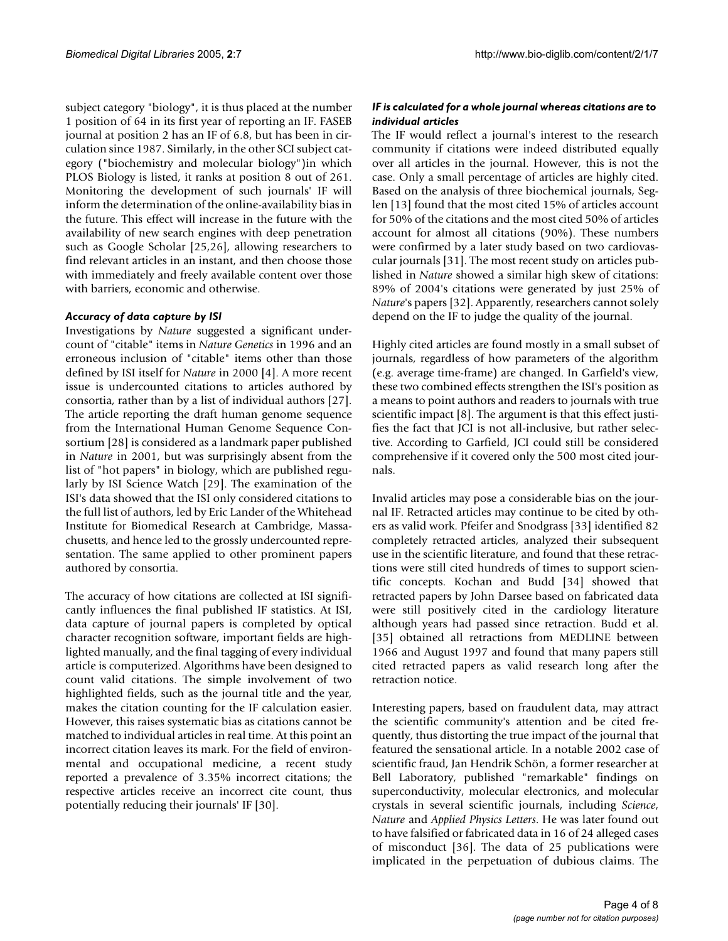subject category "biology", it is thus placed at the number 1 position of 64 in its first year of reporting an IF. FASEB journal at position 2 has an IF of 6.8, but has been in circulation since 1987. Similarly, in the other SCI subject category ("biochemistry and molecular biology")in which PLOS Biology is listed, it ranks at position 8 out of 261. Monitoring the development of such journals' IF will inform the determination of the online-availability bias in the future. This effect will increase in the future with the availability of new search engines with deep penetration such as Google Scholar [25,26], allowing researchers to find relevant articles in an instant, and then choose those with immediately and freely available content over those with barriers, economic and otherwise.

#### *Accuracy of data capture by ISI*

Investigations by *Nature* suggested a significant undercount of "citable" items in *Nature Genetics* in 1996 and an erroneous inclusion of "citable" items other than those defined by ISI itself for *Nature* in 2000 [4]. A more recent issue is undercounted citations to articles authored by consortia, rather than by a list of individual authors [27]. The article reporting the draft human genome sequence from the International Human Genome Sequence Consortium [28] is considered as a landmark paper published in *Nature* in 2001, but was surprisingly absent from the list of "hot papers" in biology, which are published regularly by ISI Science Watch [29]. The examination of the ISI's data showed that the ISI only considered citations to the full list of authors, led by Eric Lander of the Whitehead Institute for Biomedical Research at Cambridge, Massachusetts, and hence led to the grossly undercounted representation. The same applied to other prominent papers authored by consortia.

The accuracy of how citations are collected at ISI significantly influences the final published IF statistics. At ISI, data capture of journal papers is completed by optical character recognition software, important fields are highlighted manually, and the final tagging of every individual article is computerized. Algorithms have been designed to count valid citations. The simple involvement of two highlighted fields, such as the journal title and the year, makes the citation counting for the IF calculation easier. However, this raises systematic bias as citations cannot be matched to individual articles in real time. At this point an incorrect citation leaves its mark. For the field of environmental and occupational medicine, a recent study reported a prevalence of 3.35% incorrect citations; the respective articles receive an incorrect cite count, thus potentially reducing their journals' IF [30].

# *IF is calculated for a whole journal whereas citations are to individual articles*

The IF would reflect a journal's interest to the research community if citations were indeed distributed equally over all articles in the journal. However, this is not the case. Only a small percentage of articles are highly cited. Based on the analysis of three biochemical journals, Seglen [13] found that the most cited 15% of articles account for 50% of the citations and the most cited 50% of articles account for almost all citations (90%). These numbers were confirmed by a later study based on two cardiovascular journals [31]. The most recent study on articles published in *Nature* showed a similar high skew of citations: 89% of 2004's citations were generated by just 25% of *Nature*'s papers [32]. Apparently, researchers cannot solely depend on the IF to judge the quality of the journal.

Highly cited articles are found mostly in a small subset of journals, regardless of how parameters of the algorithm (e.g. average time-frame) are changed. In Garfield's view, these two combined effects strengthen the ISI's position as a means to point authors and readers to journals with true scientific impact [8]. The argument is that this effect justifies the fact that JCI is not all-inclusive, but rather selective. According to Garfield, JCI could still be considered comprehensive if it covered only the 500 most cited journals.

Invalid articles may pose a considerable bias on the journal IF. Retracted articles may continue to be cited by others as valid work. Pfeifer and Snodgrass [33] identified 82 completely retracted articles, analyzed their subsequent use in the scientific literature, and found that these retractions were still cited hundreds of times to support scientific concepts. Kochan and Budd [34] showed that retracted papers by John Darsee based on fabricated data were still positively cited in the cardiology literature although years had passed since retraction. Budd et al. [35] obtained all retractions from MEDLINE between 1966 and August 1997 and found that many papers still cited retracted papers as valid research long after the retraction notice.

Interesting papers, based on fraudulent data, may attract the scientific community's attention and be cited frequently, thus distorting the true impact of the journal that featured the sensational article. In a notable 2002 case of scientific fraud, Jan Hendrik Schön, a former researcher at Bell Laboratory, published "remarkable" findings on superconductivity, molecular electronics, and molecular crystals in several scientific journals, including *Science*, *Nature* and *Applied Physics Letters*. He was later found out to have falsified or fabricated data in 16 of 24 alleged cases of misconduct [36]. The data of 25 publications were implicated in the perpetuation of dubious claims. The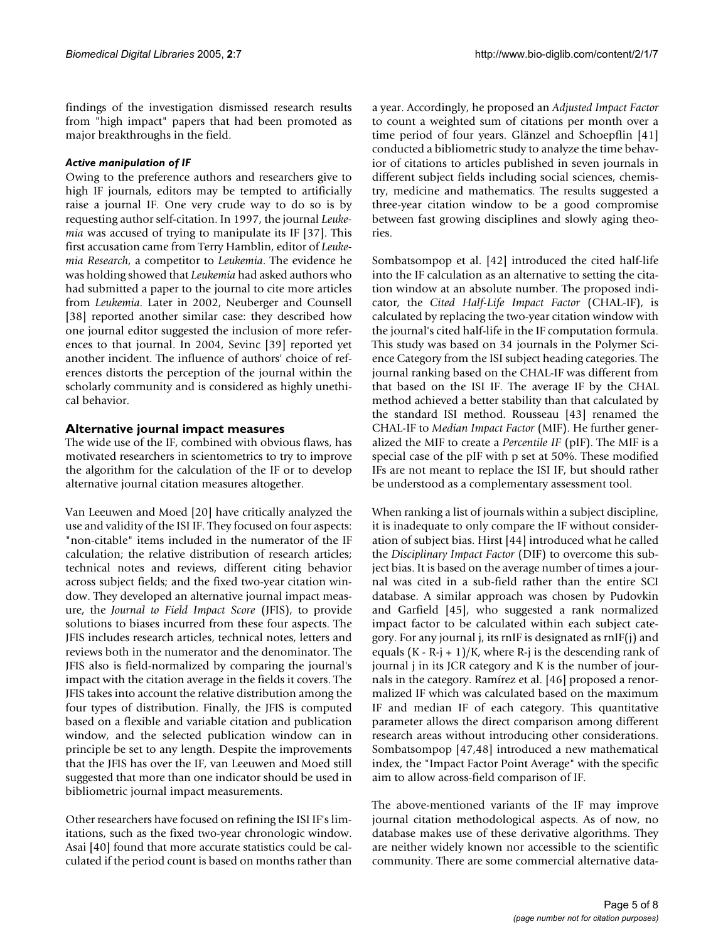findings of the investigation dismissed research results from "high impact" papers that had been promoted as major breakthroughs in the field.

# *Active manipulation of IF*

Owing to the preference authors and researchers give to high IF journals, editors may be tempted to artificially raise a journal IF. One very crude way to do so is by requesting author self-citation. In 1997, the journal *Leukemia* was accused of trying to manipulate its IF [37]. This first accusation came from Terry Hamblin, editor of *Leukemia Research*, a competitor to *Leukemia*. The evidence he was holding showed that *Leukemia* had asked authors who had submitted a paper to the journal to cite more articles from *Leukemia*. Later in 2002, Neuberger and Counsell [38] reported another similar case: they described how one journal editor suggested the inclusion of more references to that journal. In 2004, Sevinc [39] reported yet another incident. The influence of authors' choice of references distorts the perception of the journal within the scholarly community and is considered as highly unethical behavior.

# **Alternative journal impact measures**

The wide use of the IF, combined with obvious flaws, has motivated researchers in scientometrics to try to improve the algorithm for the calculation of the IF or to develop alternative journal citation measures altogether.

Van Leeuwen and Moed [20] have critically analyzed the use and validity of the ISI IF. They focused on four aspects: "non-citable" items included in the numerator of the IF calculation; the relative distribution of research articles; technical notes and reviews, different citing behavior across subject fields; and the fixed two-year citation window. They developed an alternative journal impact measure, the *Journal to Field Impact Score* (JFIS), to provide solutions to biases incurred from these four aspects. The JFIS includes research articles, technical notes, letters and reviews both in the numerator and the denominator. The JFIS also is field-normalized by comparing the journal's impact with the citation average in the fields it covers. The JFIS takes into account the relative distribution among the four types of distribution. Finally, the JFIS is computed based on a flexible and variable citation and publication window, and the selected publication window can in principle be set to any length. Despite the improvements that the JFIS has over the IF, van Leeuwen and Moed still suggested that more than one indicator should be used in bibliometric journal impact measurements.

Other researchers have focused on refining the ISI IF's limitations, such as the fixed two-year chronologic window. Asai [40] found that more accurate statistics could be calculated if the period count is based on months rather than

a year. Accordingly, he proposed an *Adjusted Impact Factor* to count a weighted sum of citations per month over a time period of four years. Glänzel and Schoepflin [41] conducted a bibliometric study to analyze the time behavior of citations to articles published in seven journals in different subject fields including social sciences, chemistry, medicine and mathematics. The results suggested a three-year citation window to be a good compromise between fast growing disciplines and slowly aging theories.

Sombatsompop et al. [42] introduced the cited half-life into the IF calculation as an alternative to setting the citation window at an absolute number. The proposed indicator, the *Cited Half-Life Impact Factor* (CHAL-IF), is calculated by replacing the two-year citation window with the journal's cited half-life in the IF computation formula. This study was based on 34 journals in the Polymer Science Category from the ISI subject heading categories. The journal ranking based on the CHAL-IF was different from that based on the ISI IF. The average IF by the CHAL method achieved a better stability than that calculated by the standard ISI method. Rousseau [43] renamed the CHAL-IF to *Median Impact Factor* (MIF). He further generalized the MIF to create a *Percentile IF* (pIF). The MIF is a special case of the pIF with p set at 50%. These modified IFs are not meant to replace the ISI IF, but should rather be understood as a complementary assessment tool.

When ranking a list of journals within a subject discipline, it is inadequate to only compare the IF without consideration of subject bias. Hirst [44] introduced what he called the *Disciplinary Impact Factor* (DIF) to overcome this subject bias. It is based on the average number of times a journal was cited in a sub-field rather than the entire SCI database. A similar approach was chosen by Pudovkin and Garfield [45], who suggested a rank normalized impact factor to be calculated within each subject category. For any journal j, its rnIF is designated as rnIF(j) and equals  $(K - R - j + 1)/K$ , where R-j is the descending rank of journal j in its JCR category and K is the number of journals in the category. Ramírez et al. [46] proposed a renormalized IF which was calculated based on the maximum IF and median IF of each category. This quantitative parameter allows the direct comparison among different research areas without introducing other considerations. Sombatsompop [47,48] introduced a new mathematical index, the "Impact Factor Point Average" with the specific aim to allow across-field comparison of IF.

The above-mentioned variants of the IF may improve journal citation methodological aspects. As of now, no database makes use of these derivative algorithms. They are neither widely known nor accessible to the scientific community. There are some commercial alternative data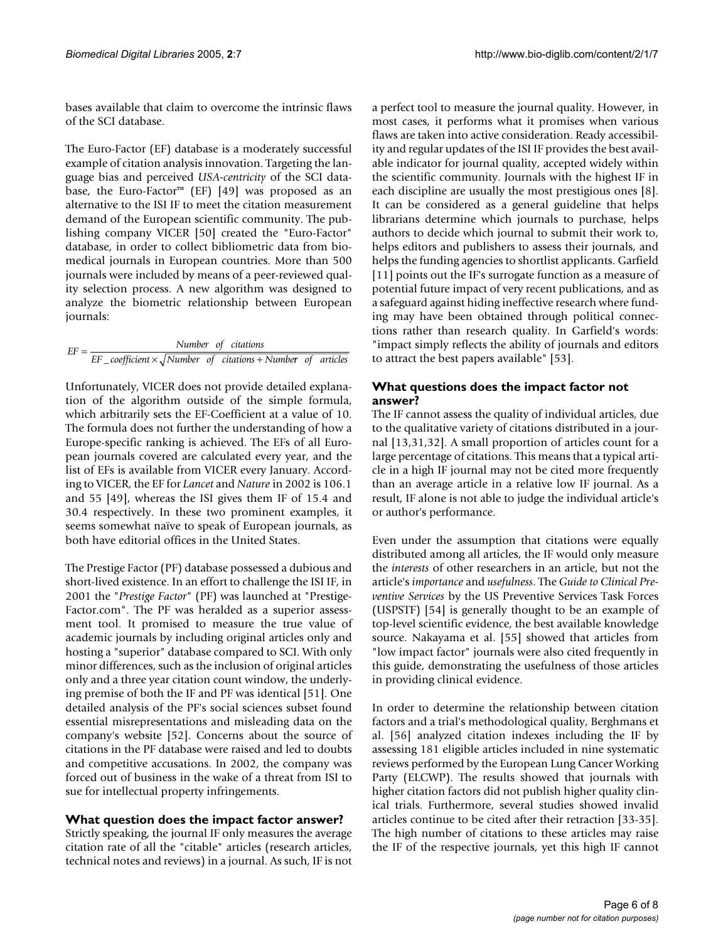bases available that claim to overcome the intrinsic flaws of the SCI database.

The Euro-Factor (EF) database is a moderately successful example of citation analysis innovation. Targeting the language bias and perceived *USA-centricity* of the SCI database, the Euro-Factor<sup>™</sup> (EF) [49] was proposed as an alternative to the ISI IF to meet the citation measurement demand of the European scientific community. The publishing company VICER [50] created the "Euro-Factor" database, in order to collect bibliometric data from biomedical journals in European countries. More than 500 journals were included by means of a peer-reviewed quality selection process. A new algorithm was designed to analyze the biometric relationship between European journals:

| $EF =$ | Number of citations |  |  |                                                                           |  |  |
|--------|---------------------|--|--|---------------------------------------------------------------------------|--|--|
|        |                     |  |  | $EF$ coefficient $\times \sqrt{Number}$ of citations + Number of articles |  |  |

Unfortunately, VICER does not provide detailed explanation of the algorithm outside of the simple formula, which arbitrarily sets the EF-Coefficient at a value of 10. The formula does not further the understanding of how a Europe-specific ranking is achieved. The EFs of all European journals covered are calculated every year, and the list of EFs is available from VICER every January. According to VICER, the EF for *Lancet* and *Nature* in 2002 is 106.1 and 55 [49], whereas the ISI gives them IF of 15.4 and 30.4 respectively. In these two prominent examples, it seems somewhat naïve to speak of European journals, as both have editorial offices in the United States.

The Prestige Factor (PF) database possessed a dubious and short-lived existence. In an effort to challenge the ISI IF, in 2001 the "*Prestige Factor*" (PF) was launched at "Prestige-Factor.com". The PF was heralded as a superior assessment tool. It promised to measure the true value of academic journals by including original articles only and hosting a "superior" database compared to SCI. With only minor differences, such as the inclusion of original articles only and a three year citation count window, the underlying premise of both the IF and PF was identical [51]. One detailed analysis of the PF's social sciences subset found essential misrepresentations and misleading data on the company's website [52]. Concerns about the source of citations in the PF database were raised and led to doubts and competitive accusations. In 2002, the company was forced out of business in the wake of a threat from ISI to sue for intellectual property infringements.

# **What question does the impact factor answer?**

Strictly speaking, the journal IF only measures the average citation rate of all the "citable" articles (research articles, technical notes and reviews) in a journal. As such, IF is not a perfect tool to measure the journal quality. However, in most cases, it performs what it promises when various flaws are taken into active consideration. Ready accessibility and regular updates of the ISI IF provides the best available indicator for journal quality, accepted widely within the scientific community. Journals with the highest IF in each discipline are usually the most prestigious ones [8]. It can be considered as a general guideline that helps librarians determine which journals to purchase, helps authors to decide which journal to submit their work to, helps editors and publishers to assess their journals, and helps the funding agencies to shortlist applicants. Garfield [11] points out the IF's surrogate function as a measure of potential future impact of very recent publications, and as a safeguard against hiding ineffective research where funding may have been obtained through political connections rather than research quality. In Garfield's words: "impact simply reflects the ability of journals and editors to attract the best papers available" [53].

# **What questions does the impact factor not answer?**

The IF cannot assess the quality of individual articles, due to the qualitative variety of citations distributed in a journal [13,31,32]. A small proportion of articles count for a large percentage of citations. This means that a typical article in a high IF journal may not be cited more frequently than an average article in a relative low IF journal. As a result, IF alone is not able to judge the individual article's or author's performance.

Even under the assumption that citations were equally distributed among all articles, the IF would only measure the *interests* of other researchers in an article, but not the article's *importance* and *usefulness*. The *Guide to Clinical Preventive Services* by the US Preventive Services Task Forces (USPSTF) [54] is generally thought to be an example of top-level scientific evidence, the best available knowledge source. Nakayama et al. [55] showed that articles from "low impact factor" journals were also cited frequently in this guide, demonstrating the usefulness of those articles in providing clinical evidence.

In order to determine the relationship between citation factors and a trial's methodological quality, Berghmans et al. [56] analyzed citation indexes including the IF by assessing 181 eligible articles included in nine systematic reviews performed by the European Lung Cancer Working Party (ELCWP). The results showed that journals with higher citation factors did not publish higher quality clinical trials. Furthermore, several studies showed invalid articles continue to be cited after their retraction [33-35]. The high number of citations to these articles may raise the IF of the respective journals, yet this high IF cannot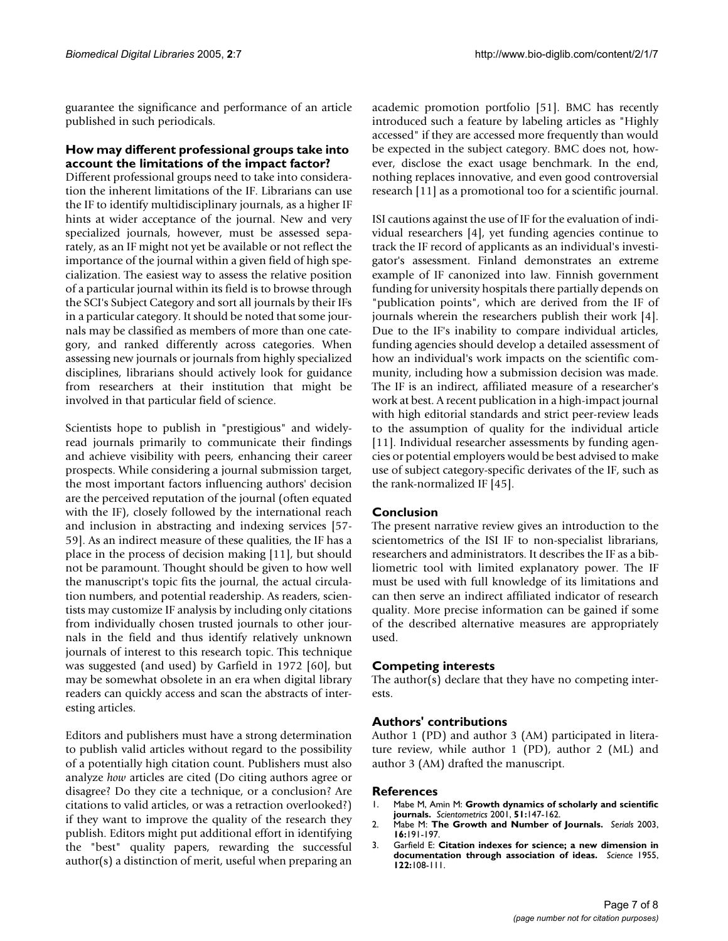guarantee the significance and performance of an article published in such periodicals.

#### **How may different professional groups take into account the limitations of the impact factor?**

Different professional groups need to take into consideration the inherent limitations of the IF. Librarians can use the IF to identify multidisciplinary journals, as a higher IF hints at wider acceptance of the journal. New and very specialized journals, however, must be assessed separately, as an IF might not yet be available or not reflect the importance of the journal within a given field of high specialization. The easiest way to assess the relative position of a particular journal within its field is to browse through the SCI's Subject Category and sort all journals by their IFs in a particular category. It should be noted that some journals may be classified as members of more than one category, and ranked differently across categories. When assessing new journals or journals from highly specialized disciplines, librarians should actively look for guidance from researchers at their institution that might be involved in that particular field of science.

Scientists hope to publish in "prestigious" and widelyread journals primarily to communicate their findings and achieve visibility with peers, enhancing their career prospects. While considering a journal submission target, the most important factors influencing authors' decision are the perceived reputation of the journal (often equated with the IF), closely followed by the international reach and inclusion in abstracting and indexing services [57- 59]. As an indirect measure of these qualities, the IF has a place in the process of decision making [11], but should not be paramount. Thought should be given to how well the manuscript's topic fits the journal, the actual circulation numbers, and potential readership. As readers, scientists may customize IF analysis by including only citations from individually chosen trusted journals to other journals in the field and thus identify relatively unknown journals of interest to this research topic. This technique was suggested (and used) by Garfield in 1972 [60], but may be somewhat obsolete in an era when digital library readers can quickly access and scan the abstracts of interesting articles.

Editors and publishers must have a strong determination to publish valid articles without regard to the possibility of a potentially high citation count. Publishers must also analyze *how* articles are cited (Do citing authors agree or disagree? Do they cite a technique, or a conclusion? Are citations to valid articles, or was a retraction overlooked?) if they want to improve the quality of the research they publish. Editors might put additional effort in identifying the "best" quality papers, rewarding the successful author(s) a distinction of merit, useful when preparing an

academic promotion portfolio [51]. BMC has recently introduced such a feature by labeling articles as "Highly accessed" if they are accessed more frequently than would be expected in the subject category. BMC does not, however, disclose the exact usage benchmark. In the end, nothing replaces innovative, and even good controversial research [11] as a promotional too for a scientific journal.

ISI cautions against the use of IF for the evaluation of individual researchers [4], yet funding agencies continue to track the IF record of applicants as an individual's investigator's assessment. Finland demonstrates an extreme example of IF canonized into law. Finnish government funding for university hospitals there partially depends on "publication points", which are derived from the IF of journals wherein the researchers publish their work [4]. Due to the IF's inability to compare individual articles, funding agencies should develop a detailed assessment of how an individual's work impacts on the scientific community, including how a submission decision was made. The IF is an indirect, affiliated measure of a researcher's work at best. A recent publication in a high-impact journal with high editorial standards and strict peer-review leads to the assumption of quality for the individual article [11]. Individual researcher assessments by funding agencies or potential employers would be best advised to make use of subject category-specific derivates of the IF, such as the rank-normalized IF [45].

# **Conclusion**

The present narrative review gives an introduction to the scientometrics of the ISI IF to non-specialist librarians, researchers and administrators. It describes the IF as a bibliometric tool with limited explanatory power. The IF must be used with full knowledge of its limitations and can then serve an indirect affiliated indicator of research quality. More precise information can be gained if some of the described alternative measures are appropriately used.

# **Competing interests**

The author(s) declare that they have no competing interests.

# **Authors' contributions**

Author 1 (PD) and author 3 (AM) participated in literature review, while author 1 (PD), author 2 (ML) and author 3 (AM) drafted the manuscript.

# **References**

- 1. Mabe M, Amin M: **Growth dynamics of scholarly and scientific journals.** *Scientometrics* 2001, **51:**147-162.
- 2. Mabe M: **The Growth and Number of Journals.** *Serials* 2003, **16:**191-197.
- 3. Garfield E: **Citation indexes for science; a new dimension in documentation through association of ideas.** *Science* 1955, **122:**108-111.